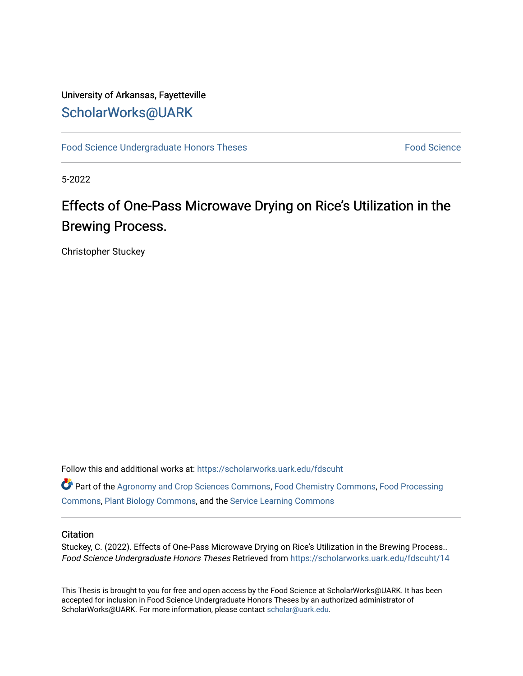# University of Arkansas, Fayetteville [ScholarWorks@UARK](https://scholarworks.uark.edu/)

[Food Science Undergraduate Honors Theses](https://scholarworks.uark.edu/fdscuht) [Food Science](https://scholarworks.uark.edu/fdsc) Food Science

5-2022

# Effects of One-Pass Microwave Drying on Rice's Utilization in the Brewing Process.

Christopher Stuckey

Follow this and additional works at: [https://scholarworks.uark.edu/fdscuht](https://scholarworks.uark.edu/fdscuht?utm_source=scholarworks.uark.edu%2Ffdscuht%2F14&utm_medium=PDF&utm_campaign=PDFCoverPages) 

Part of the [Agronomy and Crop Sciences Commons,](http://network.bepress.com/hgg/discipline/103?utm_source=scholarworks.uark.edu%2Ffdscuht%2F14&utm_medium=PDF&utm_campaign=PDFCoverPages) [Food Chemistry Commons](http://network.bepress.com/hgg/discipline/87?utm_source=scholarworks.uark.edu%2Ffdscuht%2F14&utm_medium=PDF&utm_campaign=PDFCoverPages), [Food Processing](http://network.bepress.com/hgg/discipline/85?utm_source=scholarworks.uark.edu%2Ffdscuht%2F14&utm_medium=PDF&utm_campaign=PDFCoverPages) [Commons](http://network.bepress.com/hgg/discipline/85?utm_source=scholarworks.uark.edu%2Ffdscuht%2F14&utm_medium=PDF&utm_campaign=PDFCoverPages), [Plant Biology Commons](http://network.bepress.com/hgg/discipline/106?utm_source=scholarworks.uark.edu%2Ffdscuht%2F14&utm_medium=PDF&utm_campaign=PDFCoverPages), and the [Service Learning Commons](http://network.bepress.com/hgg/discipline/1024?utm_source=scholarworks.uark.edu%2Ffdscuht%2F14&utm_medium=PDF&utm_campaign=PDFCoverPages) 

#### **Citation**

Stuckey, C. (2022). Effects of One-Pass Microwave Drying on Rice's Utilization in the Brewing Process.. Food Science Undergraduate Honors Theses Retrieved from [https://scholarworks.uark.edu/fdscuht/14](https://scholarworks.uark.edu/fdscuht/14?utm_source=scholarworks.uark.edu%2Ffdscuht%2F14&utm_medium=PDF&utm_campaign=PDFCoverPages)

This Thesis is brought to you for free and open access by the Food Science at ScholarWorks@UARK. It has been accepted for inclusion in Food Science Undergraduate Honors Theses by an authorized administrator of ScholarWorks@UARK. For more information, please contact [scholar@uark.edu](mailto:scholar@uark.edu).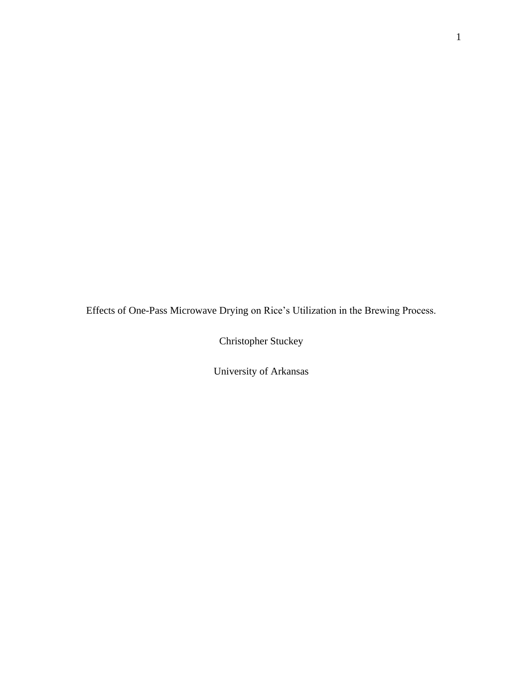Effects of One-Pass Microwave Drying on Rice's Utilization in the Brewing Process.

Christopher Stuckey

University of Arkansas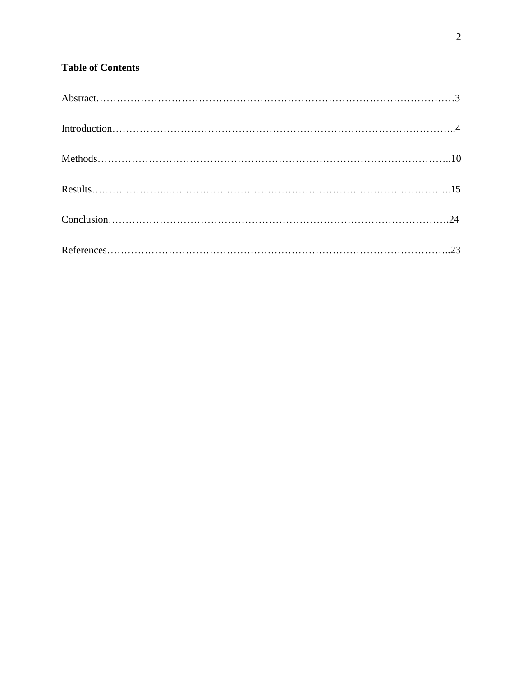# **Table of Contents**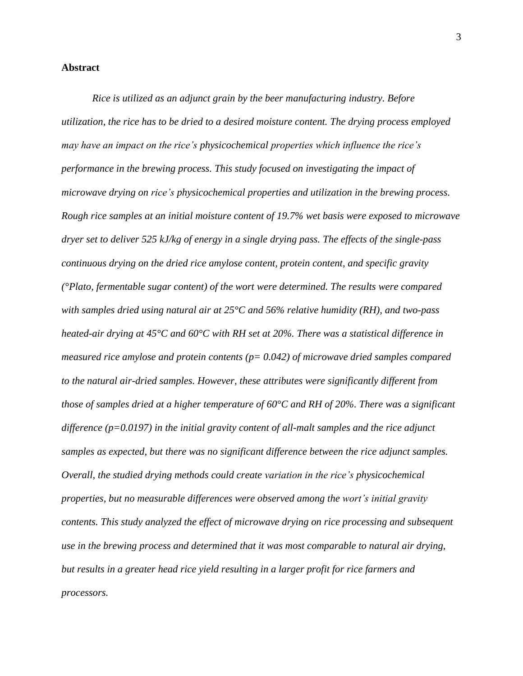#### **Abstract**

*Rice is utilized as an adjunct grain by the beer manufacturing industry. Before utilization, the rice has to be dried to a desired moisture content. The drying process employed may have an impact on the rice's physicochemical properties which influence the rice's performance in the brewing process. This study focused on investigating the impact of microwave drying on rice's physicochemical properties and utilization in the brewing process. Rough rice samples at an initial moisture content of 19.7% wet basis were exposed to microwave dryer set to deliver 525 kJ/kg of energy in a single drying pass. The effects of the single-pass continuous drying on the dried rice amylose content, protein content, and specific gravity (°Plato, fermentable sugar content) of the wort were determined. The results were compared with samples dried using natural air at 25°C and 56% relative humidity (RH), and two-pass heated-air drying at 45°C and 60°C with RH set at 20%. There was a statistical difference in measured rice amylose and protein contents (p= 0.042) of microwave dried samples compared to the natural air-dried samples. However, these attributes were significantly different from those of samples dried at a higher temperature of 60°C and RH of 20%. There was a significant difference (p=0.0197) in the initial gravity content of all-malt samples and the rice adjunct samples as expected, but there was no significant difference between the rice adjunct samples. Overall, the studied drying methods could create variation in the rice's physicochemical properties, but no measurable differences were observed among the wort's initial gravity contents. This study analyzed the effect of microwave drying on rice processing and subsequent use in the brewing process and determined that it was most comparable to natural air drying, but results in a greater head rice yield resulting in a larger profit for rice farmers and processors.*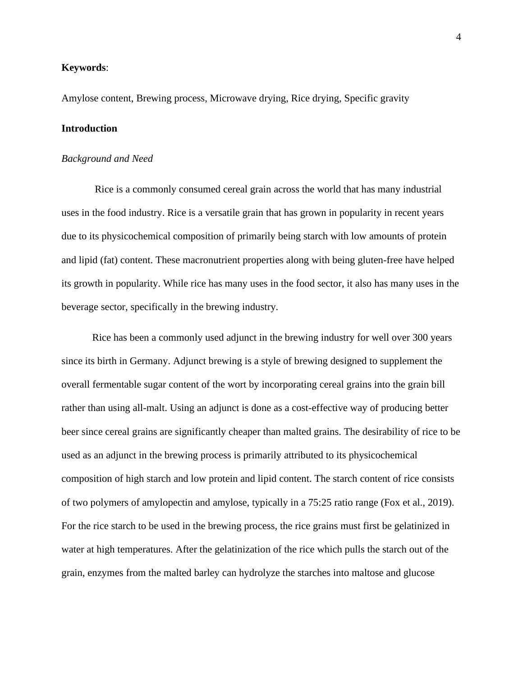#### **Keywords**:

Amylose content, Brewing process, Microwave drying, Rice drying, Specific gravity

#### **Introduction**

#### *Background and Need*

Rice is a commonly consumed cereal grain across the world that has many industrial uses in the food industry. Rice is a versatile grain that has grown in popularity in recent years due to its physicochemical composition of primarily being starch with low amounts of protein and lipid (fat) content. These macronutrient properties along with being gluten-free have helped its growth in popularity. While rice has many uses in the food sector, it also has many uses in the beverage sector, specifically in the brewing industry.

Rice has been a commonly used adjunct in the brewing industry for well over 300 years since its birth in Germany. Adjunct brewing is a style of brewing designed to supplement the overall fermentable sugar content of the wort by incorporating cereal grains into the grain bill rather than using all-malt. Using an adjunct is done as a cost-effective way of producing better beer since cereal grains are significantly cheaper than malted grains. The desirability of rice to be used as an adjunct in the brewing process is primarily attributed to its physicochemical composition of high starch and low protein and lipid content. The starch content of rice consists of two polymers of amylopectin and amylose, typically in a 75:25 ratio range (Fox et al., 2019). For the rice starch to be used in the brewing process, the rice grains must first be gelatinized in water at high temperatures. After the gelatinization of the rice which pulls the starch out of the grain, enzymes from the malted barley can hydrolyze the starches into maltose and glucose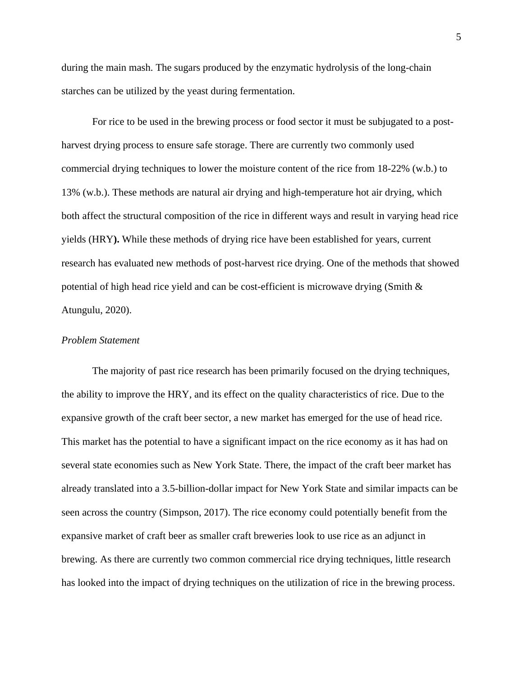during the main mash. The sugars produced by the enzymatic hydrolysis of the long-chain starches can be utilized by the yeast during fermentation.

For rice to be used in the brewing process or food sector it must be subjugated to a postharvest drying process to ensure safe storage. There are currently two commonly used commercial drying techniques to lower the moisture content of the rice from 18-22% (w.b.) to 13% (w.b.). These methods are natural air drying and high-temperature hot air drying, which both affect the structural composition of the rice in different ways and result in varying head rice yields (HRY**).** While these methods of drying rice have been established for years, current research has evaluated new methods of post-harvest rice drying. One of the methods that showed potential of high head rice yield and can be cost-efficient is microwave drying (Smith  $\&$ Atungulu, 2020).

#### *Problem Statement*

The majority of past rice research has been primarily focused on the drying techniques, the ability to improve the HRY, and its effect on the quality characteristics of rice. Due to the expansive growth of the craft beer sector, a new market has emerged for the use of head rice. This market has the potential to have a significant impact on the rice economy as it has had on several state economies such as New York State. There, the impact of the craft beer market has already translated into a 3.5-billion-dollar impact for New York State and similar impacts can be seen across the country (Simpson, 2017). The rice economy could potentially benefit from the expansive market of craft beer as smaller craft breweries look to use rice as an adjunct in brewing. As there are currently two common commercial rice drying techniques, little research has looked into the impact of drying techniques on the utilization of rice in the brewing process.

5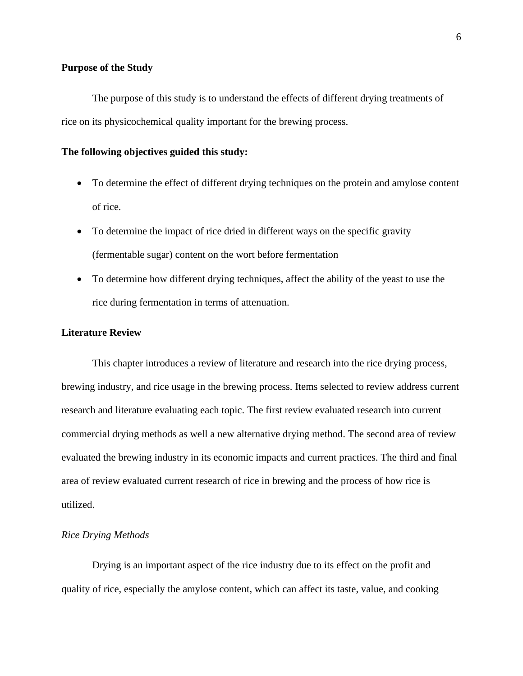#### **Purpose of the Study**

The purpose of this study is to understand the effects of different drying treatments of rice on its physicochemical quality important for the brewing process.

#### **The following objectives guided this study:**

- To determine the effect of different drying techniques on the protein and amylose content of rice.
- To determine the impact of rice dried in different ways on the specific gravity (fermentable sugar) content on the wort before fermentation
- To determine how different drying techniques, affect the ability of the yeast to use the rice during fermentation in terms of attenuation.

#### **Literature Review**

This chapter introduces a review of literature and research into the rice drying process, brewing industry, and rice usage in the brewing process. Items selected to review address current research and literature evaluating each topic. The first review evaluated research into current commercial drying methods as well a new alternative drying method. The second area of review evaluated the brewing industry in its economic impacts and current practices. The third and final area of review evaluated current research of rice in brewing and the process of how rice is utilized.

#### *Rice Drying Methods*

Drying is an important aspect of the rice industry due to its effect on the profit and quality of rice, especially the amylose content, which can affect its taste, value, and cooking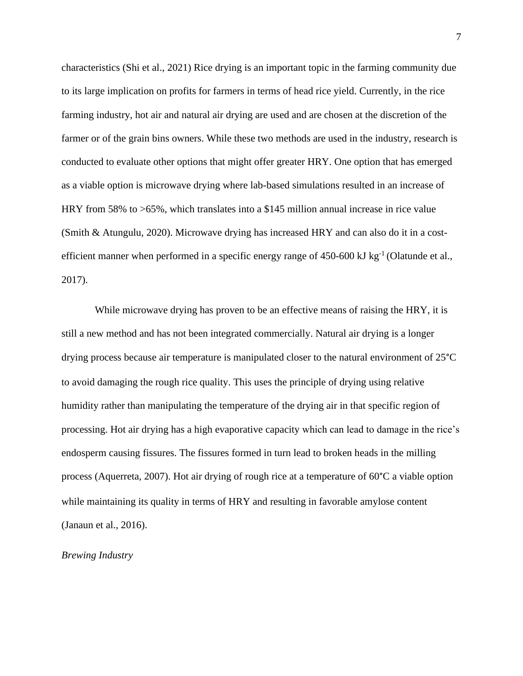characteristics (Shi et al., 2021) Rice drying is an important topic in the farming community due to its large implication on profits for farmers in terms of head rice yield. Currently, in the rice farming industry, hot air and natural air drying are used and are chosen at the discretion of the farmer or of the grain bins owners. While these two methods are used in the industry, research is conducted to evaluate other options that might offer greater HRY. One option that has emerged as a viable option is microwave drying where lab-based simulations resulted in an increase of HRY from 58% to >65%, which translates into a \$145 million annual increase in rice value (Smith & Atungulu, 2020). Microwave drying has increased HRY and can also do it in a costefficient manner when performed in a specific energy range of  $450-600 \text{ kJ kg}^{-1}$  (Olatunde et al., 2017).

While microwave drying has proven to be an effective means of raising the HRY, it is still a new method and has not been integrated commercially. Natural air drying is a longer drying process because air temperature is manipulated closer to the natural environment of 25°C to avoid damaging the rough rice quality. This uses the principle of drying using relative humidity rather than manipulating the temperature of the drying air in that specific region of processing. Hot air drying has a high evaporative capacity which can lead to damage in the rice's endosperm causing fissures. The fissures formed in turn lead to broken heads in the milling process (Aquerreta, 2007). Hot air drying of rough rice at a temperature of 60°C a viable option while maintaining its quality in terms of HRY and resulting in favorable amylose content (Janaun et al., 2016).

#### *Brewing Industry*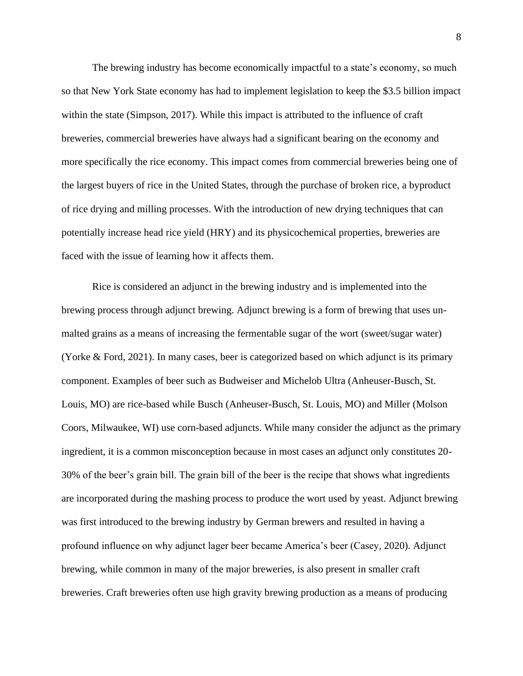The brewing industry has become economically impactful to a state's economy, so much so that New York State economy has had to implement legislation to keep the \$3.5 billion impact within the state (Simpson, 2017). While this impact is attributed to the influence of craft breweries, commercial breweries have always had a significant bearing on the economy and more specifically the rice economy. This impact comes from commercial breweries being one of the largest buyers of rice in the United States, through the purchase of broken rice, a byproduct of rice drying and milling processes. With the introduction of new drying techniques that can potentially increase head rice yield (HRY) and its physicochemical properties, breweries are faced with the issue of learning how it affects them.

Rice is considered an adjunct in the brewing industry and is implemented into the brewing process through adjunct brewing. Adjunct brewing is a form of brewing that uses unmalted grains as a means of increasing the fermentable sugar of the wort (sweet/sugar water) (Yorke & Ford, 2021). In many cases, beer is categorized based on which adjunct is its primary component. Examples of beer such as Budweiser and Michelob Ultra (Anheuser-Busch, St. Louis, MO) are rice-based while Busch (Anheuser-Busch, St. Louis, MO) and Miller (Molson Coors, Milwaukee, WI) use corn-based adjuncts. While many consider the adjunct as the primary ingredient, it is a common misconception because in most cases an adjunct only constitutes 20- 30% of the beer's grain bill. The grain bill of the beer is the recipe that shows what ingredients are incorporated during the mashing process to produce the wort used by yeast. Adjunct brewing was first introduced to the brewing industry by German brewers and resulted in having a profound influence on why adjunct lager beer became America's beer (Casey, 2020). Adjunct brewing, while common in many of the major breweries, is also present in smaller craft breweries. Craft breweries often use high gravity brewing production as a means of producing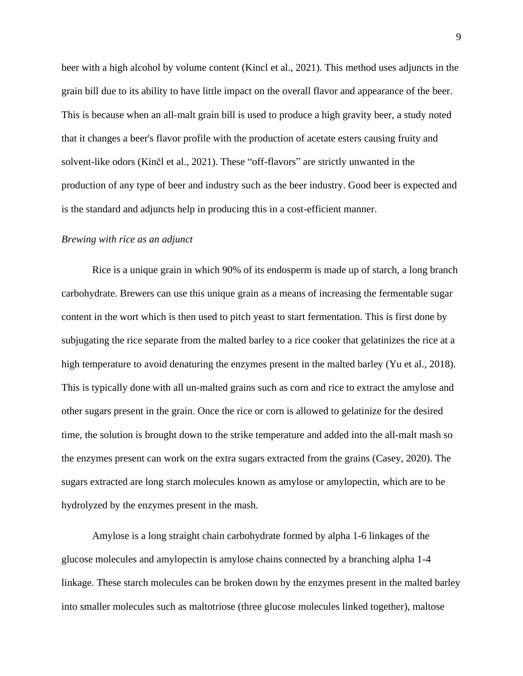beer with a high alcohol by volume content (Kincl et al., 2021). This method uses adjuncts in the grain bill due to its ability to have little impact on the overall flavor and appearance of the beer. This is because when an all-malt grain bill is used to produce a high gravity beer, a study noted that it changes a beer's flavor profile with the production of acetate esters causing fruity and solvent-like odors (Kinčl et al., 2021). These "off-flavors" are strictly unwanted in the production of any type of beer and industry such as the beer industry. Good beer is expected and is the standard and adjuncts help in producing this in a cost-efficient manner.

#### *Brewing with rice as an adjunct*

Rice is a unique grain in which 90% of its endosperm is made up of starch, a long branch carbohydrate. Brewers can use this unique grain as a means of increasing the fermentable sugar content in the wort which is then used to pitch yeast to start fermentation. This is first done by subjugating the rice separate from the malted barley to a rice cooker that gelatinizes the rice at a high temperature to avoid denaturing the enzymes present in the malted barley (Yu et al., 2018). This is typically done with all un-malted grains such as corn and rice to extract the amylose and other sugars present in the grain. Once the rice or corn is allowed to gelatinize for the desired time, the solution is brought down to the strike temperature and added into the all-malt mash so the enzymes present can work on the extra sugars extracted from the grains (Casey, 2020). The sugars extracted are long starch molecules known as amylose or amylopectin, which are to be hydrolyzed by the enzymes present in the mash.

Amylose is a long straight chain carbohydrate formed by alpha 1-6 linkages of the glucose molecules and amylopectin is amylose chains connected by a branching alpha 1-4 linkage. These starch molecules can be broken down by the enzymes present in the malted barley into smaller molecules such as maltotriose (three glucose molecules linked together), maltose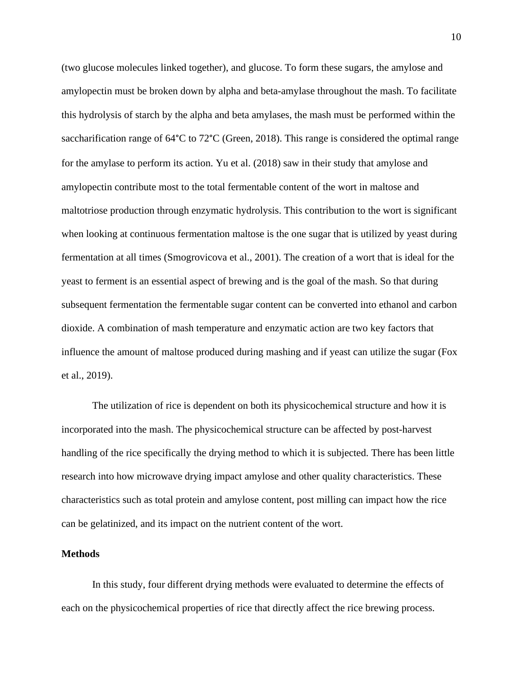(two glucose molecules linked together), and glucose. To form these sugars, the amylose and amylopectin must be broken down by alpha and beta-amylase throughout the mash. To facilitate this hydrolysis of starch by the alpha and beta amylases, the mash must be performed within the saccharification range of 64°C to 72°C (Green, 2018). This range is considered the optimal range for the amylase to perform its action. Yu et al. (2018) saw in their study that amylose and amylopectin contribute most to the total fermentable content of the wort in maltose and maltotriose production through enzymatic hydrolysis. This contribution to the wort is significant when looking at continuous fermentation maltose is the one sugar that is utilized by yeast during fermentation at all times (Smogrovicova et al., 2001). The creation of a wort that is ideal for the yeast to ferment is an essential aspect of brewing and is the goal of the mash. So that during subsequent fermentation the fermentable sugar content can be converted into ethanol and carbon dioxide. A combination of mash temperature and enzymatic action are two key factors that influence the amount of maltose produced during mashing and if yeast can utilize the sugar (Fox et al., 2019).

The utilization of rice is dependent on both its physicochemical structure and how it is incorporated into the mash. The physicochemical structure can be affected by post-harvest handling of the rice specifically the drying method to which it is subjected. There has been little research into how microwave drying impact amylose and other quality characteristics. These characteristics such as total protein and amylose content, post milling can impact how the rice can be gelatinized, and its impact on the nutrient content of the wort.

#### **Methods**

In this study, four different drying methods were evaluated to determine the effects of each on the physicochemical properties of rice that directly affect the rice brewing process.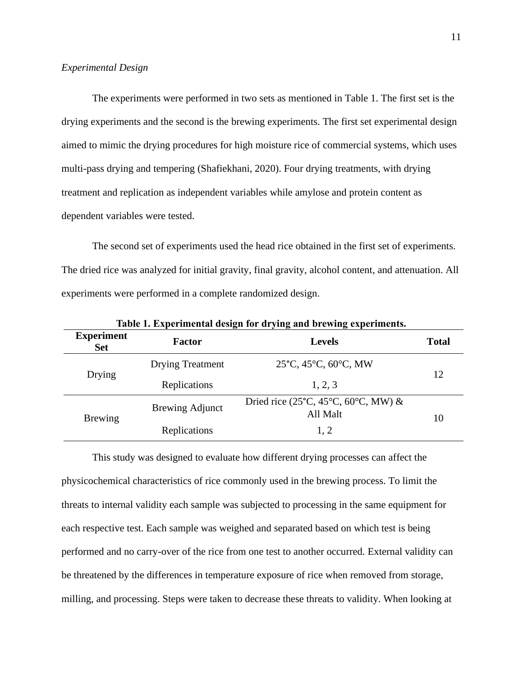#### *Experimental Design*

The experiments were performed in two sets as mentioned in Table 1. The first set is the drying experiments and the second is the brewing experiments. The first set experimental design aimed to mimic the drying procedures for high moisture rice of commercial systems, which uses multi-pass drying and tempering (Shafiekhani, 2020). Four drying treatments, with drying treatment and replication as independent variables while amylose and protein content as dependent variables were tested.

The second set of experiments used the head rice obtained in the first set of experiments. The dried rice was analyzed for initial gravity, final gravity, alcohol content, and attenuation. All experiments were performed in a complete randomized design.

**Table 1. Experimental design for drying and brewing experiments.**

| <b>Experiment</b><br><b>Set</b> | <b>Factor</b>           | <b>Levels</b>                                                                             | <b>Total</b> |
|---------------------------------|-------------------------|-------------------------------------------------------------------------------------------|--------------|
| Drying                          | <b>Drying Treatment</b> | 25°C, 45°C, 60°C, MW                                                                      | 12           |
|                                 | Replications            | 1, 2, 3                                                                                   |              |
| <b>Brewing</b>                  | <b>Brewing Adjunct</b>  | Dried rice (25 $\textdegree$ C, 45 $\textdegree$ C, 60 $\textdegree$ C, MW) &<br>All Malt | 10           |
|                                 | Replications            | 1, 2                                                                                      |              |

This study was designed to evaluate how different drying processes can affect the physicochemical characteristics of rice commonly used in the brewing process. To limit the threats to internal validity each sample was subjected to processing in the same equipment for each respective test. Each sample was weighed and separated based on which test is being performed and no carry-over of the rice from one test to another occurred. External validity can be threatened by the differences in temperature exposure of rice when removed from storage, milling, and processing. Steps were taken to decrease these threats to validity. When looking at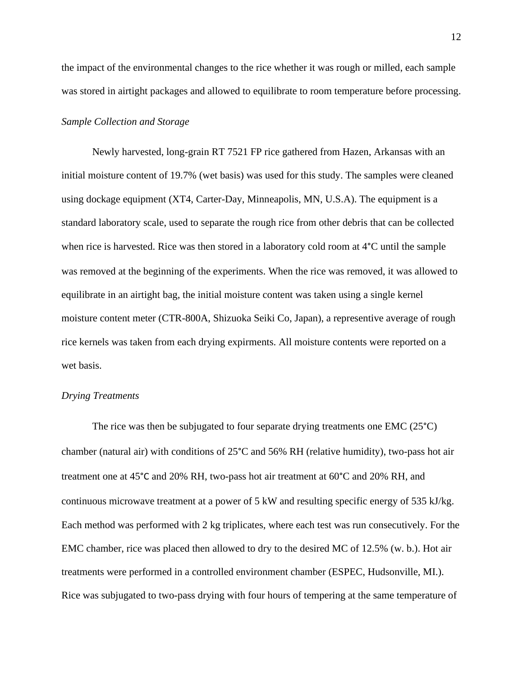the impact of the environmental changes to the rice whether it was rough or milled, each sample was stored in airtight packages and allowed to equilibrate to room temperature before processing.

#### *Sample Collection and Storage*

Newly harvested, long-grain RT 7521 FP rice gathered from Hazen, Arkansas with an initial moisture content of 19.7% (wet basis) was used for this study. The samples were cleaned using dockage equipment (XT4, Carter-Day, Minneapolis, MN, U.S.A). The equipment is a standard laboratory scale, used to separate the rough rice from other debris that can be collected when rice is harvested. Rice was then stored in a laboratory cold room at 4°C until the sample was removed at the beginning of the experiments. When the rice was removed, it was allowed to equilibrate in an airtight bag, the initial moisture content was taken using a single kernel moisture content meter (CTR-800A, Shizuoka Seiki Co, Japan), a representive average of rough rice kernels was taken from each drying expirments. All moisture contents were reported on a wet basis.

#### *Drying Treatments*

The rice was then be subjugated to four separate drying treatments one EMC (25<sup>o</sup>C) chamber (natural air) with conditions of 25°C and 56% RH (relative humidity), two-pass hot air treatment one at 45°C and 20% RH, two-pass hot air treatment at 60°C and 20% RH, and continuous microwave treatment at a power of 5 kW and resulting specific energy of 535 kJ/kg. Each method was performed with 2 kg triplicates, where each test was run consecutively. For the EMC chamber, rice was placed then allowed to dry to the desired MC of 12.5% (w. b.). Hot air treatments were performed in a controlled environment chamber (ESPEC, Hudsonville, MI.). Rice was subjugated to two-pass drying with four hours of tempering at the same temperature of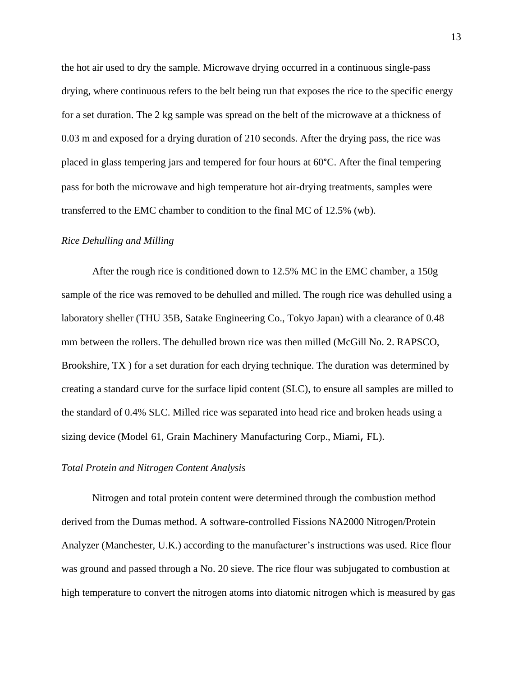the hot air used to dry the sample. Microwave drying occurred in a continuous single-pass drying, where continuous refers to the belt being run that exposes the rice to the specific energy for a set duration. The 2 kg sample was spread on the belt of the microwave at a thickness of 0.03 m and exposed for a drying duration of 210 seconds. After the drying pass, the rice was placed in glass tempering jars and tempered for four hours at 60°C. After the final tempering pass for both the microwave and high temperature hot air-drying treatments, samples were transferred to the EMC chamber to condition to the final MC of 12.5% (wb).

#### *Rice Dehulling and Milling*

After the rough rice is conditioned down to 12.5% MC in the EMC chamber, a 150g sample of the rice was removed to be dehulled and milled. The rough rice was dehulled using a laboratory sheller (THU 35B, Satake Engineering Co., Tokyo Japan) with a clearance of 0.48 mm between the rollers. The dehulled brown rice was then milled (McGill No. 2. RAPSCO, Brookshire, TX ) for a set duration for each drying technique. The duration was determined by creating a standard curve for the surface lipid content (SLC), to ensure all samples are milled to the standard of 0.4% SLC. Milled rice was separated into head rice and broken heads using a sizing device (Model 61, Grain Machinery Manufacturing Corp., Miami, FL).

#### *Total Protein and Nitrogen Content Analysis*

Nitrogen and total protein content were determined through the combustion method derived from the Dumas method. A software-controlled Fissions NA2000 Nitrogen/Protein Analyzer (Manchester, U.K.) according to the manufacturer's instructions was used. Rice flour was ground and passed through a No. 20 sieve. The rice flour was subjugated to combustion at high temperature to convert the nitrogen atoms into diatomic nitrogen which is measured by gas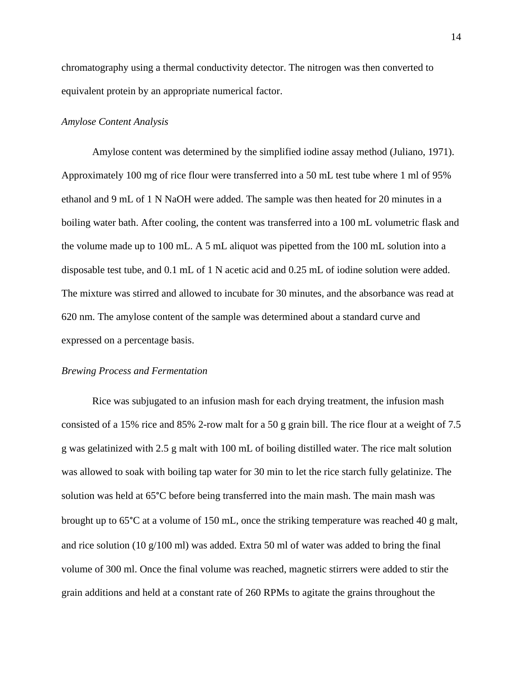chromatography using a thermal conductivity detector. The nitrogen was then converted to equivalent protein by an appropriate numerical factor.

#### *Amylose Content Analysis*

Amylose content was determined by the simplified iodine assay method (Juliano, 1971). Approximately 100 mg of rice flour were transferred into a 50 mL test tube where 1 ml of 95% ethanol and 9 mL of 1 N NaOH were added. The sample was then heated for 20 minutes in a boiling water bath. After cooling, the content was transferred into a 100 mL volumetric flask and the volume made up to 100 mL. A 5 mL aliquot was pipetted from the 100 mL solution into a disposable test tube, and 0.1 mL of 1 N acetic acid and 0.25 mL of iodine solution were added. The mixture was stirred and allowed to incubate for 30 minutes, and the absorbance was read at 620 nm. The amylose content of the sample was determined about a standard curve and expressed on a percentage basis.

#### *Brewing Process and Fermentation*

Rice was subjugated to an infusion mash for each drying treatment, the infusion mash consisted of a 15% rice and 85% 2-row malt for a 50 g grain bill. The rice flour at a weight of 7.5 g was gelatinized with 2.5 g malt with 100 mL of boiling distilled water. The rice malt solution was allowed to soak with boiling tap water for 30 min to let the rice starch fully gelatinize. The solution was held at 65°C before being transferred into the main mash. The main mash was brought up to 65°C at a volume of 150 mL, once the striking temperature was reached 40 g malt, and rice solution (10  $g/100$  ml) was added. Extra 50 ml of water was added to bring the final volume of 300 ml. Once the final volume was reached, magnetic stirrers were added to stir the grain additions and held at a constant rate of 260 RPMs to agitate the grains throughout the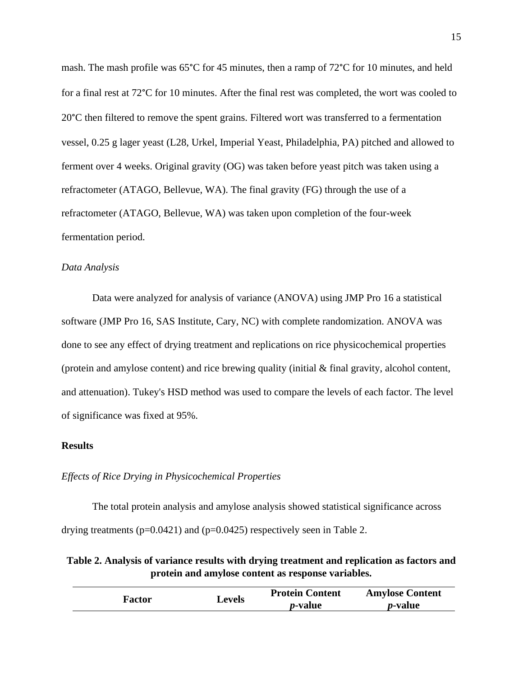mash. The mash profile was 65°C for 45 minutes, then a ramp of 72°C for 10 minutes, and held for a final rest at 72°C for 10 minutes. After the final rest was completed, the wort was cooled to 20°C then filtered to remove the spent grains. Filtered wort was transferred to a fermentation vessel, 0.25 g lager yeast (L28, Urkel, Imperial Yeast, Philadelphia, PA) pitched and allowed to ferment over 4 weeks. Original gravity (OG) was taken before yeast pitch was taken using a refractometer (ATAGO, Bellevue, WA). The final gravity (FG) through the use of a refractometer (ATAGO, Bellevue, WA) was taken upon completion of the four-week fermentation period.

#### *Data Analysis*

Data were analyzed for analysis of variance (ANOVA) using JMP Pro 16 a statistical software (JMP Pro 16, SAS Institute, Cary, NC) with complete randomization. ANOVA was done to see any effect of drying treatment and replications on rice physicochemical properties (protein and amylose content) and rice brewing quality (initial & final gravity, alcohol content, and attenuation). Tukey's HSD method was used to compare the levels of each factor. The level of significance was fixed at 95%.

#### **Results**

#### *Effects of Rice Drying in Physicochemical Properties*

The total protein analysis and amylose analysis showed statistical significance across drying treatments ( $p=0.0421$ ) and ( $p=0.0425$ ) respectively seen in Table 2.

**Table 2. Analysis of variance results with drying treatment and replication as factors and protein and amylose content as response variables.**

| <b>Factor</b> | Levels | <b>Protein Content</b> | <b>Amylose Content</b> |
|---------------|--------|------------------------|------------------------|
|               |        | <i>p</i> -value        | <i>p</i> -value        |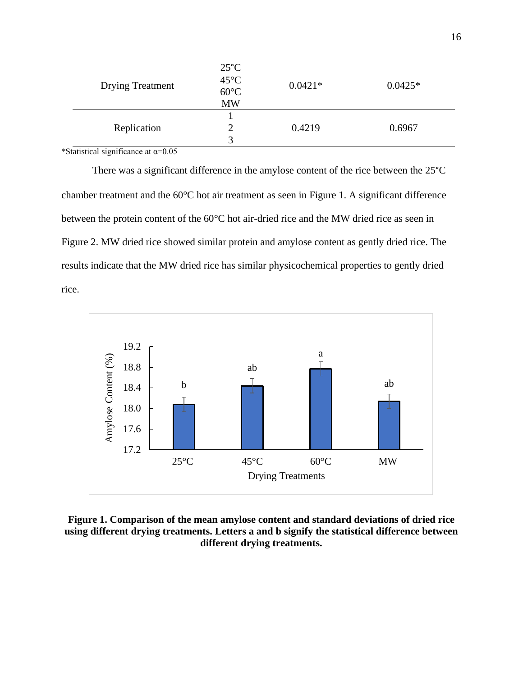| <b>Drying Treatment</b> | $25^{\circ}$ C<br>$45^{\circ}$ C<br>$60^{\circ}$ C<br><b>MW</b> | $0.0421*$ | $0.0425*$ |
|-------------------------|-----------------------------------------------------------------|-----------|-----------|
|                         |                                                                 |           |           |
| Replication             |                                                                 | 0.4219    | 0.6967    |
|                         |                                                                 |           |           |

\*Statistical significance at  $\alpha$ =0.05

There was a significant difference in the amylose content of the rice between the 25°C chamber treatment and the 60°C hot air treatment as seen in Figure 1. A significant difference between the protein content of the 60°C hot air-dried rice and the MW dried rice as seen in Figure 2. MW dried rice showed similar protein and amylose content as gently dried rice. The results indicate that the MW dried rice has similar physicochemical properties to gently dried rice.



**Figure 1. Comparison of the mean amylose content and standard deviations of dried rice using different drying treatments. Letters a and b signify the statistical difference between different drying treatments.**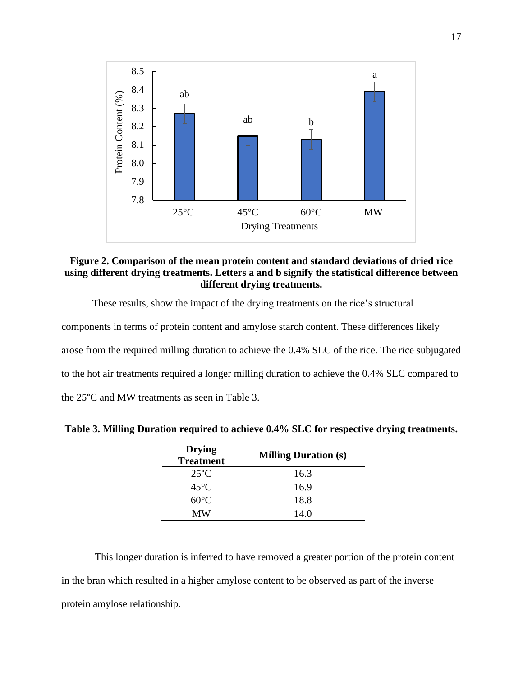

## **Figure 2. Comparison of the mean protein content and standard deviations of dried rice using different drying treatments. Letters a and b signify the statistical difference between different drying treatments.**

These results, show the impact of the drying treatments on the rice's structural

components in terms of protein content and amylose starch content. These differences likely arose from the required milling duration to achieve the 0.4% SLC of the rice. The rice subjugated to the hot air treatments required a longer milling duration to achieve the 0.4% SLC compared to the 25°C and MW treatments as seen in Table 3.

| <b>Drying</b><br><b>Treatment</b> | <b>Milling Duration (s)</b> |
|-----------------------------------|-----------------------------|
| $25^{\circ}$ C                    | 16.3                        |
| $45^{\circ}$ C                    | 16.9                        |
| $60^{\circ}$ C                    | 18.8                        |
| МW                                | 14.0                        |

**Table 3. Milling Duration required to achieve 0.4% SLC for respective drying treatments.**

This longer duration is inferred to have removed a greater portion of the protein content in the bran which resulted in a higher amylose content to be observed as part of the inverse protein amylose relationship.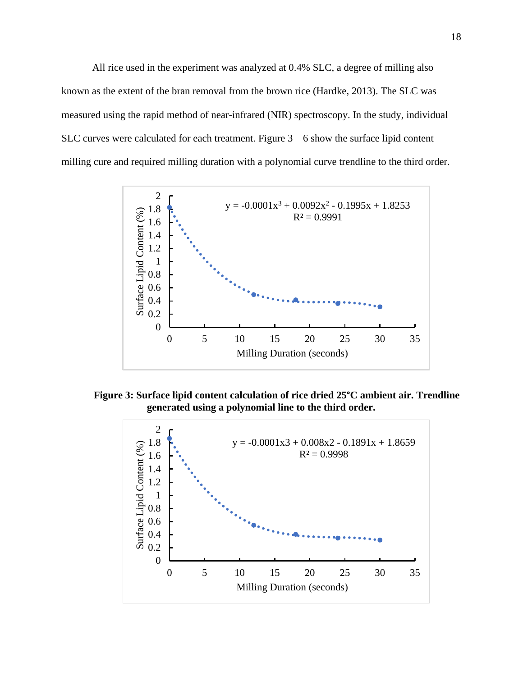All rice used in the experiment was analyzed at 0.4% SLC, a degree of milling also known as the extent of the bran removal from the brown rice (Hardke, 2013). The SLC was measured using the rapid method of near-infrared (NIR) spectroscopy. In the study, individual SLC curves were calculated for each treatment. Figure  $3 - 6$  show the surface lipid content milling cure and required milling duration with a polynomial curve trendline to the third order.



**Figure 3: Surface lipid content calculation of rice dried 25°C ambient air. Trendline generated using a polynomial line to the third order.**

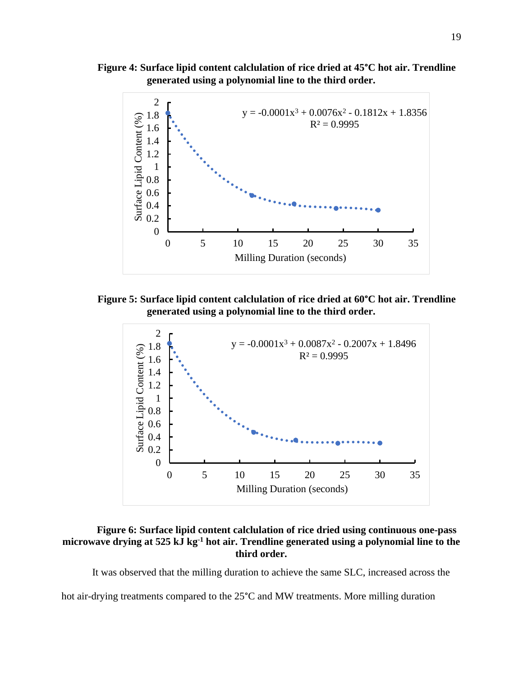**Figure 4: Surface lipid content calclulation of rice dried at 45°C hot air. Trendline generated using a polynomial line to the third order.**



**Figure 5: Surface lipid content calclulation of rice dried at 60°C hot air. Trendline generated using a polynomial line to the third order.**



## **Figure 6: Surface lipid content calclulation of rice dried using continuous one-pass microwave drying at 525 kJ kg -1 hot air. Trendline generated using a polynomial line to the third order.**

It was observed that the milling duration to achieve the same SLC, increased across the

hot air-drying treatments compared to the 25<sup>°</sup>C and MW treatments. More milling duration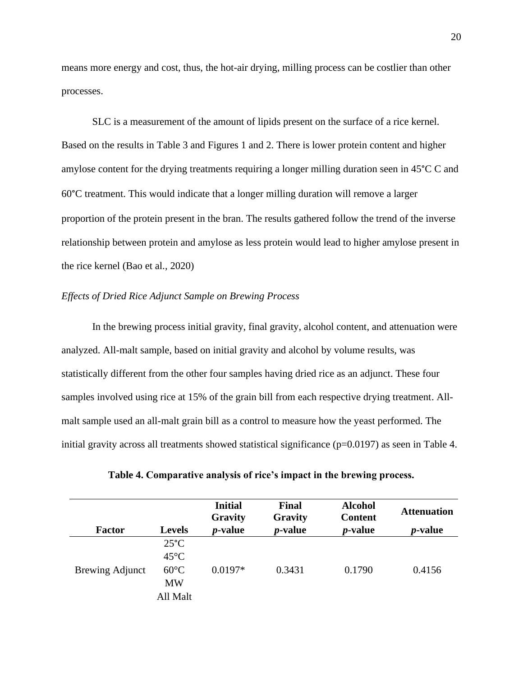means more energy and cost, thus, the hot-air drying, milling process can be costlier than other processes.

SLC is a measurement of the amount of lipids present on the surface of a rice kernel. Based on the results in Table 3 and Figures 1 and 2. There is lower protein content and higher amylose content for the drying treatments requiring a longer milling duration seen in 45°C C and 60°C treatment. This would indicate that a longer milling duration will remove a larger proportion of the protein present in the bran. The results gathered follow the trend of the inverse relationship between protein and amylose as less protein would lead to higher amylose present in the rice kernel (Bao et al., 2020)

## *Effects of Dried Rice Adjunct Sample on Brewing Process*

In the brewing process initial gravity, final gravity, alcohol content, and attenuation were analyzed. All-malt sample, based on initial gravity and alcohol by volume results, was statistically different from the other four samples having dried rice as an adjunct. These four samples involved using rice at 15% of the grain bill from each respective drying treatment. Allmalt sample used an all-malt grain bill as a control to measure how the yeast performed. The initial gravity across all treatments showed statistical significance  $(p=0.0197)$  as seen in Table 4.

|                        |                                                                             | <b>Initial</b><br>Gravity | Final<br>Gravity | <b>Alcohol</b><br><b>Content</b> | <b>Attenuation</b> |
|------------------------|-----------------------------------------------------------------------------|---------------------------|------------------|----------------------------------|--------------------|
| <b>Factor</b>          | <b>Levels</b>                                                               | <i>p</i> -value           | <i>p</i> -value  | <i>p</i> -value                  | <i>p</i> -value    |
| <b>Brewing Adjunct</b> | $25^{\circ}$ C<br>$45^{\circ}$ C<br>$60^{\circ}$ C<br><b>MW</b><br>All Malt | $0.0197*$                 | 0.3431           | 0.1790                           | 0.4156             |

**Table 4. Comparative analysis of rice's impact in the brewing process.**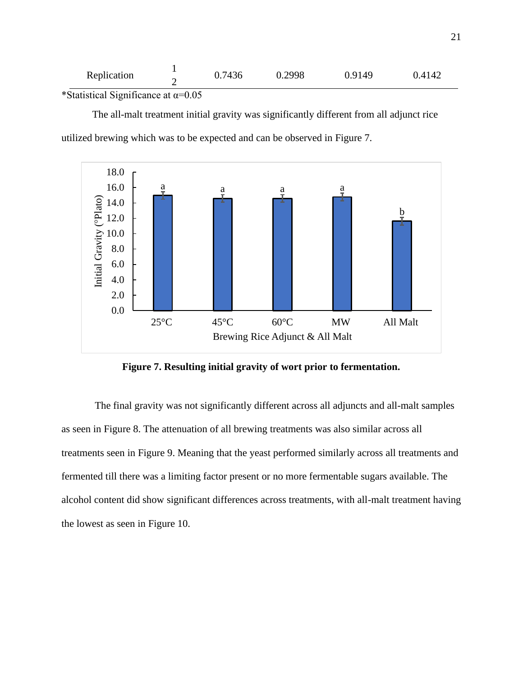| Replication | 0.7436 | 0.2998 | 0.9149 | 0.4142 |
|-------------|--------|--------|--------|--------|
|             |        |        |        |        |

\*Statistical Significance at  $\alpha$ =0.05

The all-malt treatment initial gravity was significantly different from all adjunct rice utilized brewing which was to be expected and can be observed in Figure 7.



**Figure 7. Resulting initial gravity of wort prior to fermentation.**

The final gravity was not significantly different across all adjuncts and all-malt samples as seen in Figure 8. The attenuation of all brewing treatments was also similar across all treatments seen in Figure 9. Meaning that the yeast performed similarly across all treatments and fermented till there was a limiting factor present or no more fermentable sugars available. The alcohol content did show significant differences across treatments, with all-malt treatment having the lowest as seen in Figure 10.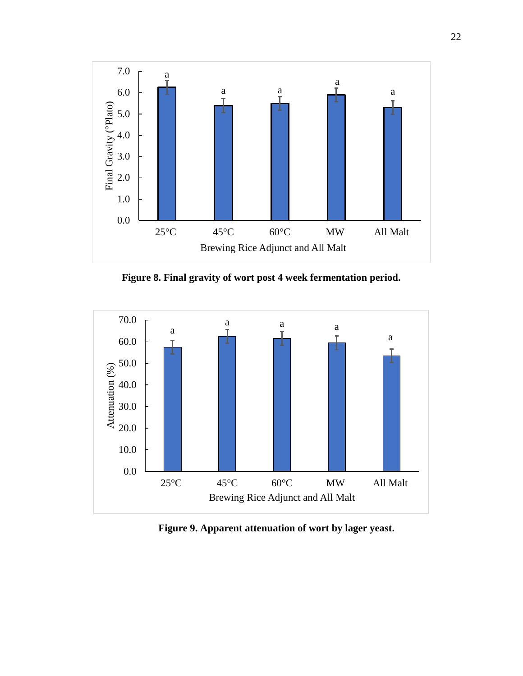

**Figure 8. Final gravity of wort post 4 week fermentation period.**



**Figure 9. Apparent attenuation of wort by lager yeast.**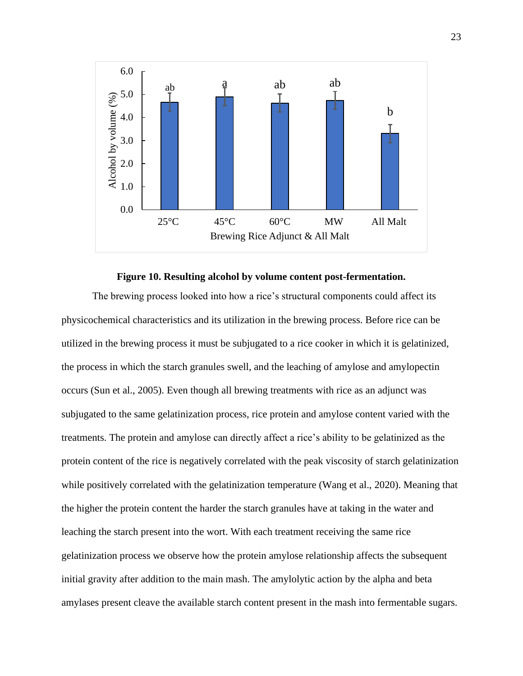

**Figure 10. Resulting alcohol by volume content post-fermentation.**

The brewing process looked into how a rice's structural components could affect its physicochemical characteristics and its utilization in the brewing process. Before rice can be utilized in the brewing process it must be subjugated to a rice cooker in which it is gelatinized, the process in which the starch granules swell, and the leaching of amylose and amylopectin occurs (Sun et al., 2005). Even though all brewing treatments with rice as an adjunct was subjugated to the same gelatinization process, rice protein and amylose content varied with the treatments. The protein and amylose can directly affect a rice's ability to be gelatinized as the protein content of the rice is negatively correlated with the peak viscosity of starch gelatinization while positively correlated with the gelatinization temperature (Wang et al., 2020). Meaning that the higher the protein content the harder the starch granules have at taking in the water and leaching the starch present into the wort. With each treatment receiving the same rice gelatinization process we observe how the protein amylose relationship affects the subsequent initial gravity after addition to the main mash. The amylolytic action by the alpha and beta amylases present cleave the available starch content present in the mash into fermentable sugars.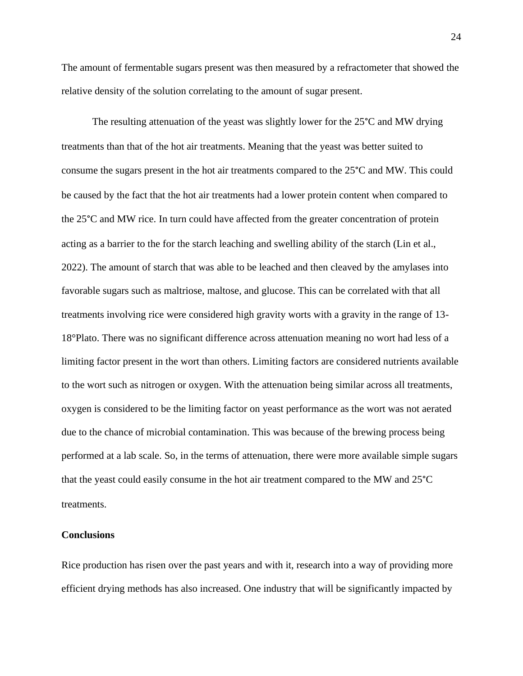The amount of fermentable sugars present was then measured by a refractometer that showed the relative density of the solution correlating to the amount of sugar present.

The resulting attenuation of the yeast was slightly lower for the 25°C and MW drying treatments than that of the hot air treatments. Meaning that the yeast was better suited to consume the sugars present in the hot air treatments compared to the 25°C and MW. This could be caused by the fact that the hot air treatments had a lower protein content when compared to the 25°C and MW rice. In turn could have affected from the greater concentration of protein acting as a barrier to the for the starch leaching and swelling ability of the starch (Lin et al., 2022). The amount of starch that was able to be leached and then cleaved by the amylases into favorable sugars such as maltriose, maltose, and glucose. This can be correlated with that all treatments involving rice were considered high gravity worts with a gravity in the range of 13- 18°Plato. There was no significant difference across attenuation meaning no wort had less of a limiting factor present in the wort than others. Limiting factors are considered nutrients available to the wort such as nitrogen or oxygen. With the attenuation being similar across all treatments, oxygen is considered to be the limiting factor on yeast performance as the wort was not aerated due to the chance of microbial contamination. This was because of the brewing process being performed at a lab scale. So, in the terms of attenuation, there were more available simple sugars that the yeast could easily consume in the hot air treatment compared to the MW and 25°C treatments.

#### **Conclusions**

Rice production has risen over the past years and with it, research into a way of providing more efficient drying methods has also increased. One industry that will be significantly impacted by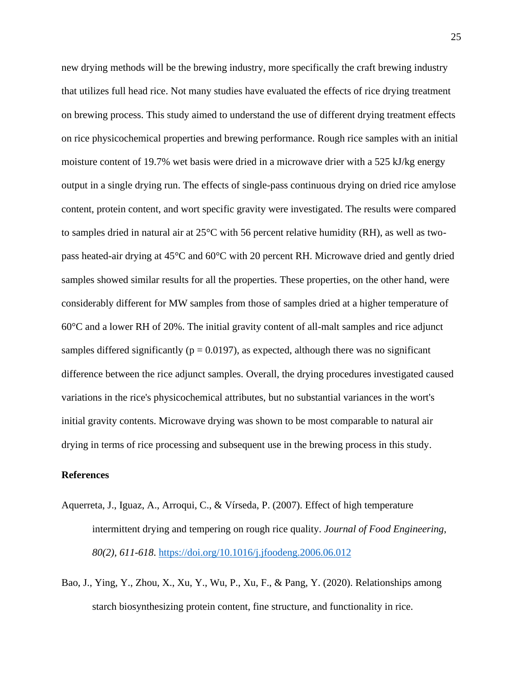new drying methods will be the brewing industry, more specifically the craft brewing industry that utilizes full head rice. Not many studies have evaluated the effects of rice drying treatment on brewing process. This study aimed to understand the use of different drying treatment effects on rice physicochemical properties and brewing performance. Rough rice samples with an initial moisture content of 19.7% wet basis were dried in a microwave drier with a 525 kJ/kg energy output in a single drying run. The effects of single-pass continuous drying on dried rice amylose content, protein content, and wort specific gravity were investigated. The results were compared to samples dried in natural air at 25°C with 56 percent relative humidity (RH), as well as twopass heated-air drying at 45°C and 60°C with 20 percent RH. Microwave dried and gently dried samples showed similar results for all the properties. These properties, on the other hand, were considerably different for MW samples from those of samples dried at a higher temperature of 60°C and a lower RH of 20%. The initial gravity content of all-malt samples and rice adjunct samples differed significantly ( $p = 0.0197$ ), as expected, although there was no significant difference between the rice adjunct samples. Overall, the drying procedures investigated caused variations in the rice's physicochemical attributes, but no substantial variances in the wort's initial gravity contents. Microwave drying was shown to be most comparable to natural air drying in terms of rice processing and subsequent use in the brewing process in this study.

#### **References**

- Aquerreta, J., Iguaz, A., Arroqui, C., & Vírseda, P. (2007). Effect of high temperature intermittent drying and tempering on rough rice quality. *Journal of Food Engineering*, *80(2), 611-618*.<https://doi.org/10.1016/j.jfoodeng.2006.06.012>
- Bao, J., Ying, Y., Zhou, X., Xu, Y., Wu, P., Xu, F., & Pang, Y. (2020). Relationships among starch biosynthesizing protein content, fine structure, and functionality in rice.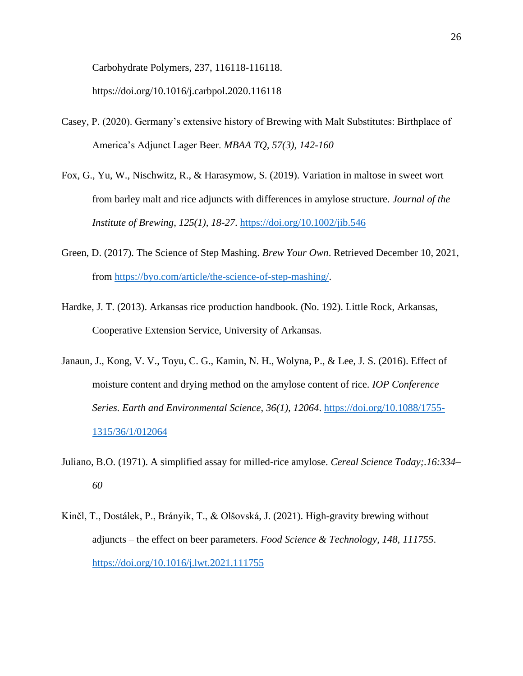Carbohydrate Polymers, 237, 116118-116118.

https://doi.org/10.1016/j.carbpol.2020.116118

- Casey, P. (2020). Germany's extensive history of Brewing with Malt Substitutes: Birthplace of America's Adjunct Lager Beer. *MBAA TQ, 57(3), 142-160*
- Fox, G., Yu, W., Nischwitz, R., & Harasymow, S. (2019). Variation in maltose in sweet wort from barley malt and rice adjuncts with differences in amylose structure. *Journal of the Institute of Brewing*, *125(1), 18-27*.<https://doi.org/10.1002/jib.546>
- Green, D. (2017). The Science of Step Mashing. *Brew Your Own*. Retrieved December 10, 2021, from [https://byo.com/article/the-science-of-step-mashing/.](https://byo.com/article/the-science-of-step-mashing/)
- Hardke, J. T. (2013). Arkansas rice production handbook. (No. 192). Little Rock, Arkansas, Cooperative Extension Service, University of Arkansas.
- Janaun, J., Kong, V. V., Toyu, C. G., Kamin, N. H., Wolyna, P., & Lee, J. S. (2016). Effect of moisture content and drying method on the amylose content of rice. *IOP Conference Series. Earth and Environmental Science*, *36(1), 12064*. [https://doi.org/10.1088/1755-](https://doi.org/10.1088/1755-1315/36/1/012064) [1315/36/1/012064](https://doi.org/10.1088/1755-1315/36/1/012064)
- Juliano, B.O. (1971). A simplified assay for milled-rice amylose. *Cereal Science Today;.16:334– 60*
- Kinčl, T., Dostálek, P., Brányik, T., & Olšovská, J. (2021). High-gravity brewing without adjuncts – the effect on beer parameters. *Food Science & Technology*, *148, 111755*. <https://doi.org/10.1016/j.lwt.2021.111755>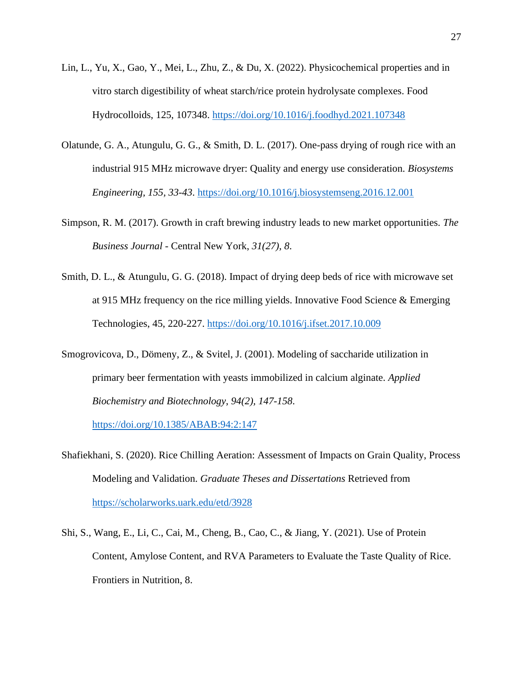- Lin, L., Yu, X., Gao, Y., Mei, L., Zhu, Z., & Du, X. (2022). Physicochemical properties and in vitro starch digestibility of wheat starch/rice protein hydrolysate complexes. Food Hydrocolloids, 125, 107348.<https://doi.org/10.1016/j.foodhyd.2021.107348>
- Olatunde, G. A., Atungulu, G. G., & Smith, D. L. (2017). One-pass drying of rough rice with an industrial 915 MHz microwave dryer: Quality and energy use consideration. *Biosystems Engineering, 155, 33-43*.<https://doi.org/10.1016/j.biosystemseng.2016.12.001>
- Simpson, R. M. (2017). Growth in craft brewing industry leads to new market opportunities. *The Business Journal* - Central New York, *31(27), 8*.
- Smith, D. L., & Atungulu, G. G. (2018). Impact of drying deep beds of rice with microwave set at 915 MHz frequency on the rice milling yields. Innovative Food Science & Emerging Technologies, 45, 220-227.<https://doi.org/10.1016/j.ifset.2017.10.009>
- Smogrovicova, D., Dömeny, Z., & Svitel, J. (2001). Modeling of saccharide utilization in primary beer fermentation with yeasts immobilized in calcium alginate. *Applied Biochemistry and Biotechnology*, *94(2), 147-158*.

<https://doi.org/10.1385/ABAB:94:2:147>

- Shafiekhani, S. (2020). Rice Chilling Aeration: Assessment of Impacts on Grain Quality, Process Modeling and Validation. *Graduate Theses and Dissertations* Retrieved from <https://scholarworks.uark.edu/etd/3928>
- Shi, S., Wang, E., Li, C., Cai, M., Cheng, B., Cao, C., & Jiang, Y. (2021). Use of Protein Content, Amylose Content, and RVA Parameters to Evaluate the Taste Quality of Rice. Frontiers in Nutrition, 8.